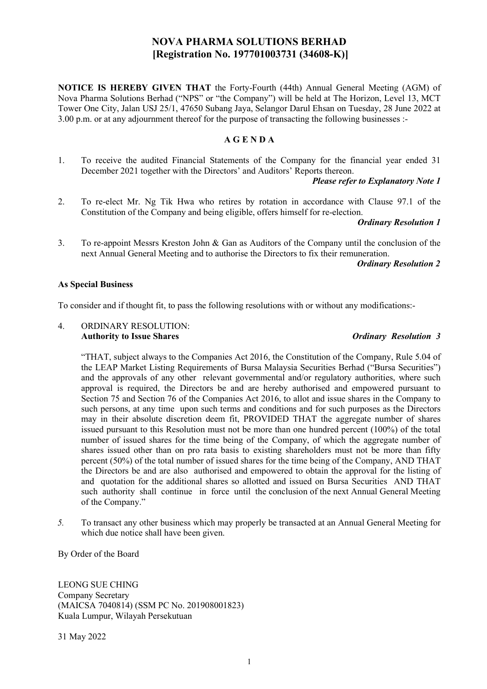# NOVA PHARMA SOLUTIONS BERHAD [Registration No. 197701003731 (34608-K)]

NOTICE IS HEREBY GIVEN THAT the Forty-Fourth (44th) Annual General Meeting (AGM) of Nova Pharma Solutions Berhad ("NPS" or "the Company") will be held at The Horizon, Level 13, MCT Tower One City, Jalan USJ 25/1, 47650 Subang Jaya, Selangor Darul Ehsan on Tuesday, 28 June 2022 at 3.00 p.m. or at any adjournment thereof for the purpose of transacting the following businesses :-

## A G E N D A

1. To receive the audited Financial Statements of the Company for the financial year ended 31 December 2021 together with the Directors' and Auditors' Reports thereon.

## Please refer to Explanatory Note 1

2. To re-elect Mr. Ng Tik Hwa who retires by rotation in accordance with Clause 97.1 of the Constitution of the Company and being eligible, offers himself for re-election.

## Ordinary Resolution 1

3. To re-appoint Messrs Kreston John & Gan as Auditors of the Company until the conclusion of the next Annual General Meeting and to authorise the Directors to fix their remuneration.

Ordinary Resolution 2

## As Special Business

To consider and if thought fit, to pass the following resolutions with or without any modifications:-

#### 4. ORDINARY RESOLUTION: Authority to Issue Shares **Contract Contract Contract Contract Contract Contract Contract Contract Contract Contract Contract Contract Contract Contract Contract Contract Contract Contract Contract Contract Contract Contra**

"THAT, subject always to the Companies Act 2016, the Constitution of the Company, Rule 5.04 of the LEAP Market Listing Requirements of Bursa Malaysia Securities Berhad ("Bursa Securities") and the approvals of any other relevant governmental and/or regulatory authorities, where such approval is required, the Directors be and are hereby authorised and empowered pursuant to Section 75 and Section 76 of the Companies Act 2016, to allot and issue shares in the Company to such persons, at any time upon such terms and conditions and for such purposes as the Directors may in their absolute discretion deem fit, PROVIDED THAT the aggregate number of shares issued pursuant to this Resolution must not be more than one hundred percent (100%) of the total number of issued shares for the time being of the Company, of which the aggregate number of shares issued other than on pro rata basis to existing shareholders must not be more than fifty percent (50%) of the total number of issued shares for the time being of the Company, AND THAT the Directors be and are also authorised and empowered to obtain the approval for the listing of and quotation for the additional shares so allotted and issued on Bursa Securities AND THAT such authority shall continue in force until the conclusion of the next Annual General Meeting of the Company."

5. To transact any other business which may properly be transacted at an Annual General Meeting for which due notice shall have been given.

By Order of the Board

LEONG SUE CHING Company Secretary (MAICSA 7040814) (SSM PC No. 201908001823) Kuala Lumpur, Wilayah Persekutuan

31 May 2022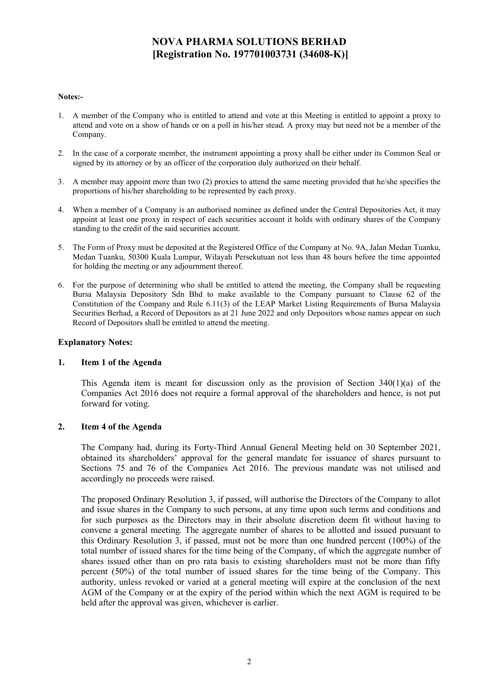# NOVA PHARMA SOLUTIONS BERHAD [Registration No. 197701003731 (34608-K)]

#### Notes:-

- 1. A member of the Company who is entitled to attend and vote at this Meeting is entitled to appoint a proxy to attend and vote on a show of hands or on a poll in his/her stead. A proxy may but need not be a member of the Company.
- 2. In the case of a corporate member, the instrument appointing a proxy shall be either under its Common Seal or signed by its attorney or by an officer of the corporation duly authorized on their behalf.
- 3. A member may appoint more than two (2) proxies to attend the same meeting provided that he/she specifies the proportions of his/her shareholding to be represented by each proxy.
- 4. When a member of a Company is an authorised nominee as defined under the Central Depositories Act, it may appoint at least one proxy in respect of each securities account it holds with ordinary shares of the Company standing to the credit of the said securities account.
- 5. The Form of Proxy must be deposited at the Registered Office of the Company at No. 9A, Jalan Medan Tuanku, Medan Tuanku, 50300 Kuala Lumpur, Wilayah Persekutuan not less than 48 hours before the time appointed for holding the meeting or any adjournment thereof.
- 6. For the purpose of determining who shall be entitled to attend the meeting, the Company shall be requesting Bursa Malaysia Depository Sdn Bhd to make available to the Company pursuant to Clause 62 of the Constitution of the Company and Rule 6.11(3) of the LEAP Market Listing Requirements of Bursa Malaysia Securities Berhad, a Record of Depositors as at 21 June 2022 and only Depositors whose names appear on such Record of Depositors shall be entitled to attend the meeting.

## Explanatory Notes:

## 1. Item 1 of the Agenda

This Agenda item is meant for discussion only as the provision of Section  $340(1)(a)$  of the Companies Act 2016 does not require a formal approval of the shareholders and hence, is not put forward for voting.

## 2. Item 4 of the Agenda

The Company had, during its Forty-Third Annual General Meeting held on 30 September 2021, obtained its shareholders' approval for the general mandate for issuance of shares pursuant to Sections 75 and 76 of the Companies Act 2016. The previous mandate was not utilised and accordingly no proceeds were raised.

The proposed Ordinary Resolution 3, if passed, will authorise the Directors of the Company to allot and issue shares in the Company to such persons, at any time upon such terms and conditions and for such purposes as the Directors may in their absolute discretion deem fit without having to convene a general meeting. The aggregate number of shares to be allotted and issued pursuant to this Ordinary Resolution 3, if passed, must not be more than one hundred percent (100%) of the total number of issued shares for the time being of the Company, of which the aggregate number of shares issued other than on pro rata basis to existing shareholders must not be more than fifty percent (50%) of the total number of issued shares for the time being of the Company. This authority, unless revoked or varied at a general meeting will expire at the conclusion of the next AGM of the Company or at the expiry of the period within which the next AGM is required to be held after the approval was given, whichever is earlier.